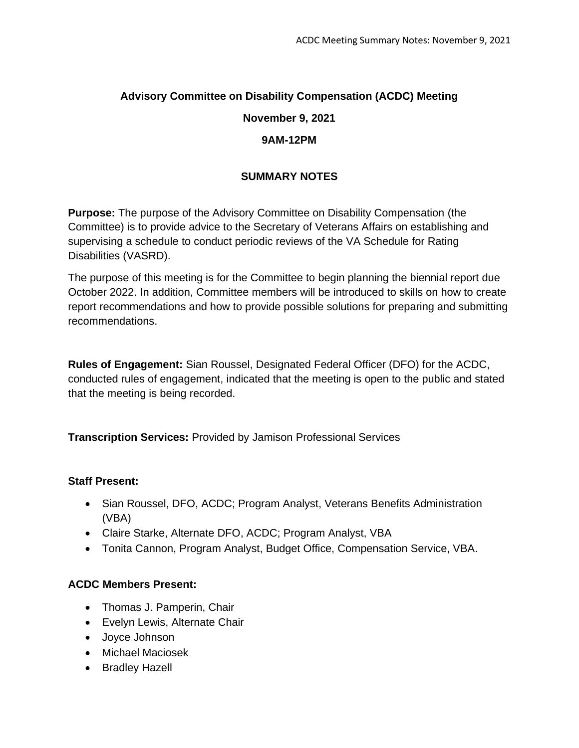# **Advisory Committee on Disability Compensation (ACDC) Meeting November 9, 2021**

### **9AM-12PM**

## **SUMMARY NOTES**

**Purpose:** The purpose of the Advisory Committee on Disability Compensation (the Committee) is to provide advice to the Secretary of Veterans Affairs on establishing and supervising a schedule to conduct periodic reviews of the VA Schedule for Rating Disabilities (VASRD).

The purpose of this meeting is for the Committee to begin planning the biennial report due October 2022. In addition, Committee members will be introduced to skills on how to create report recommendations and how to provide possible solutions for preparing and submitting recommendations.

**Rules of Engagement:** Sian Roussel, Designated Federal Officer (DFO) for the ACDC, conducted rules of engagement, indicated that the meeting is open to the public and stated that the meeting is being recorded.

**Transcription Services:** Provided by Jamison Professional Services

### **Staff Present:**

- Sian Roussel, DFO, ACDC; Program Analyst, Veterans Benefits Administration (VBA)
- Claire Starke, Alternate DFO, ACDC; Program Analyst, VBA
- Tonita Cannon, Program Analyst, Budget Office, Compensation Service, VBA.

# **ACDC Members Present:**

- Thomas J. Pamperin, Chair
- Evelyn Lewis, Alternate Chair
- Joyce Johnson
- Michael Maciosek
- Bradley Hazell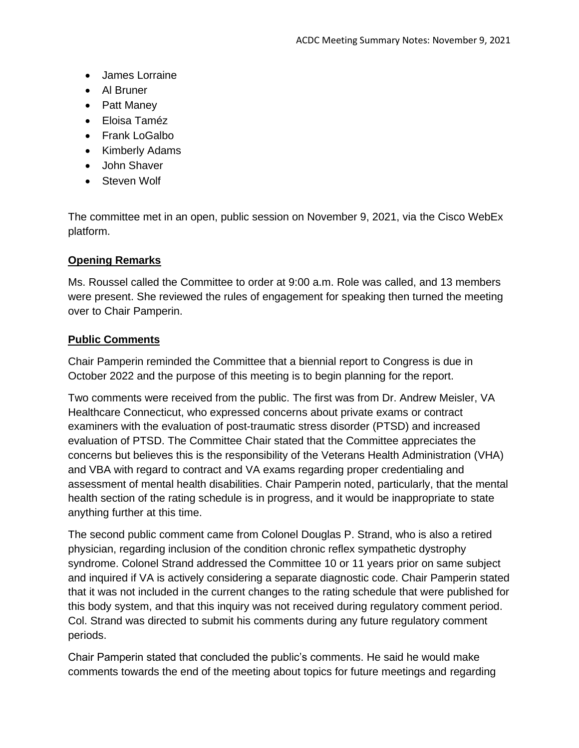- James Lorraine
- Al Bruner
- Patt Maney
- Eloisa Taméz
- Frank LoGalbo
- Kimberly Adams
- John Shaver
- Steven Wolf

The committee met in an open, public session on November 9, 2021, via the Cisco WebEx platform.

### **Opening Remarks**

Ms. Roussel called the Committee to order at 9:00 a.m. Role was called, and 13 members were present. She reviewed the rules of engagement for speaking then turned the meeting over to Chair Pamperin.

### **Public Comments**

Chair Pamperin reminded the Committee that a biennial report to Congress is due in October 2022 and the purpose of this meeting is to begin planning for the report.

Two comments were received from the public. The first was from Dr. Andrew Meisler, VA Healthcare Connecticut, who expressed concerns about private exams or contract examiners with the evaluation of post-traumatic stress disorder (PTSD) and increased evaluation of PTSD. The Committee Chair stated that the Committee appreciates the concerns but believes this is the responsibility of the Veterans Health Administration (VHA) and VBA with regard to contract and VA exams regarding proper credentialing and assessment of mental health disabilities. Chair Pamperin noted, particularly, that the mental health section of the rating schedule is in progress, and it would be inappropriate to state anything further at this time.

The second public comment came from Colonel Douglas P. Strand, who is also a retired physician, regarding inclusion of the condition chronic reflex sympathetic dystrophy syndrome. Colonel Strand addressed the Committee 10 or 11 years prior on same subject and inquired if VA is actively considering a separate diagnostic code. Chair Pamperin stated that it was not included in the current changes to the rating schedule that were published for this body system, and that this inquiry was not received during regulatory comment period. Col. Strand was directed to submit his comments during any future regulatory comment periods.

Chair Pamperin stated that concluded the public's comments. He said he would make comments towards the end of the meeting about topics for future meetings and regarding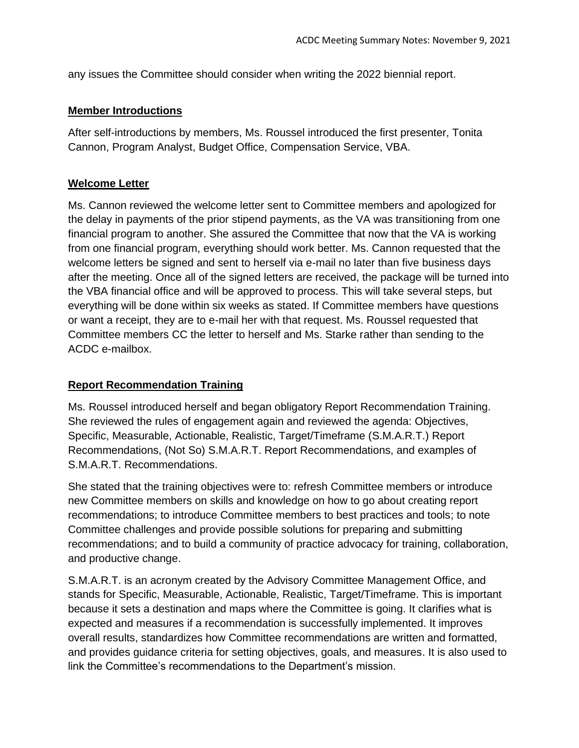any issues the Committee should consider when writing the 2022 biennial report.

#### **Member Introductions**

After self-introductions by members, Ms. Roussel introduced the first presenter, Tonita Cannon, Program Analyst, Budget Office, Compensation Service, VBA.

### **Welcome Letter**

Ms. Cannon reviewed the welcome letter sent to Committee members and apologized for the delay in payments of the prior stipend payments, as the VA was transitioning from one financial program to another. She assured the Committee that now that the VA is working from one financial program, everything should work better. Ms. Cannon requested that the welcome letters be signed and sent to herself via e-mail no later than five business days after the meeting. Once all of the signed letters are received, the package will be turned into the VBA financial office and will be approved to process. This will take several steps, but everything will be done within six weeks as stated. If Committee members have questions or want a receipt, they are to e-mail her with that request. Ms. Roussel requested that Committee members CC the letter to herself and Ms. Starke rather than sending to the ACDC e-mailbox.

### **Report Recommendation Training**

Ms. Roussel introduced herself and began obligatory Report Recommendation Training. She reviewed the rules of engagement again and reviewed the agenda: Objectives, Specific, Measurable, Actionable, Realistic, Target/Timeframe (S.M.A.R.T.) Report Recommendations, (Not So) S.M.A.R.T. Report Recommendations, and examples of S.M.A.R.T. Recommendations.

She stated that the training objectives were to: refresh Committee members or introduce new Committee members on skills and knowledge on how to go about creating report recommendations; to introduce Committee members to best practices and tools; to note Committee challenges and provide possible solutions for preparing and submitting recommendations; and to build a community of practice advocacy for training, collaboration, and productive change.

S.M.A.R.T. is an acronym created by the Advisory Committee Management Office, and stands for Specific, Measurable, Actionable, Realistic, Target/Timeframe. This is important because it sets a destination and maps where the Committee is going. It clarifies what is expected and measures if a recommendation is successfully implemented. It improves overall results, standardizes how Committee recommendations are written and formatted, and provides guidance criteria for setting objectives, goals, and measures. It is also used to link the Committee's recommendations to the Department's mission.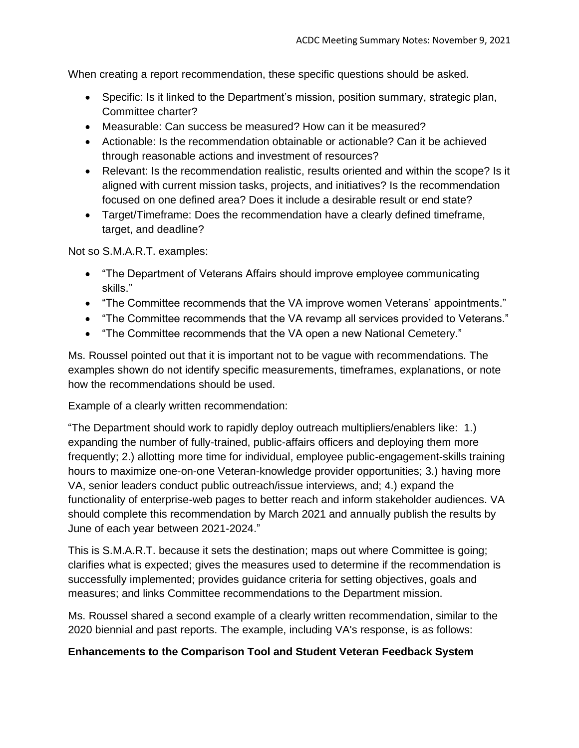When creating a report recommendation, these specific questions should be asked.

- Specific: Is it linked to the Department's mission, position summary, strategic plan, Committee charter?
- Measurable: Can success be measured? How can it be measured?
- Actionable: Is the recommendation obtainable or actionable? Can it be achieved through reasonable actions and investment of resources?
- Relevant: Is the recommendation realistic, results oriented and within the scope? Is it aligned with current mission tasks, projects, and initiatives? Is the recommendation focused on one defined area? Does it include a desirable result or end state?
- Target/Timeframe: Does the recommendation have a clearly defined timeframe, target, and deadline?

Not so S.M.A.R.T. examples:

- "The Department of Veterans Affairs should improve employee communicating skills."
- "The Committee recommends that the VA improve women Veterans' appointments."
- "The Committee recommends that the VA revamp all services provided to Veterans."
- "The Committee recommends that the VA open a new National Cemetery."

Ms. Roussel pointed out that it is important not to be vague with recommendations. The examples shown do not identify specific measurements, timeframes, explanations, or note how the recommendations should be used.

Example of a clearly written recommendation:

"The Department should work to rapidly deploy outreach multipliers/enablers like: 1.) expanding the number of fully-trained, public-affairs officers and deploying them more frequently; 2.) allotting more time for individual, employee public-engagement-skills training hours to maximize one-on-one Veteran-knowledge provider opportunities; 3.) having more VA, senior leaders conduct public outreach/issue interviews, and; 4.) expand the functionality of enterprise-web pages to better reach and inform stakeholder audiences. VA should complete this recommendation by March 2021 and annually publish the results by June of each year between 2021-2024."

This is S.M.A.R.T. because it sets the destination; maps out where Committee is going; clarifies what is expected; gives the measures used to determine if the recommendation is successfully implemented; provides guidance criteria for setting objectives, goals and measures; and links Committee recommendations to the Department mission.

Ms. Roussel shared a second example of a clearly written recommendation, similar to the 2020 biennial and past reports. The example, including VA's response, is as follows:

# **Enhancements to the Comparison Tool and Student Veteran Feedback System**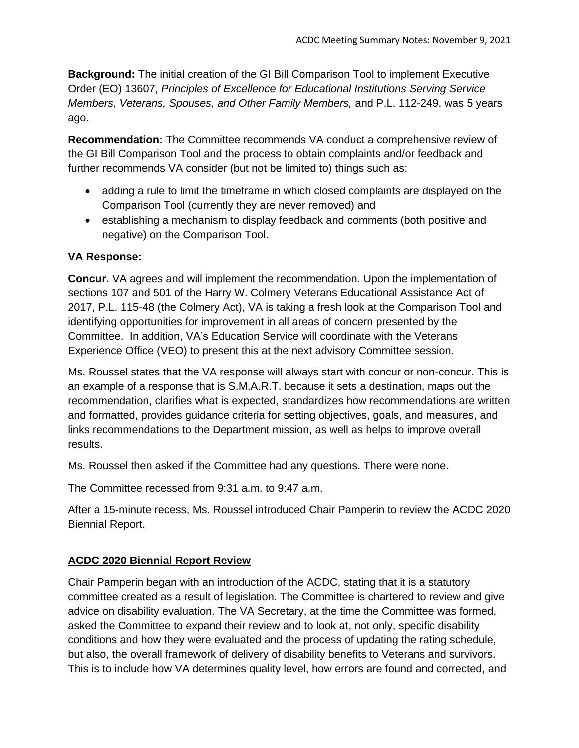**Background:** The initial creation of the GI Bill Comparison Tool to implement Executive Order (EO) 13607, *Principles of Excellence for Educational Institutions Serving Service Members, Veterans, Spouses, and Other Family Members,* and P.L. 112-249, was 5 years ago.

**Recommendation:** The Committee recommends VA conduct a comprehensive review of the GI Bill Comparison Tool and the process to obtain complaints and/or feedback and further recommends VA consider (but not be limited to) things such as:

- adding a rule to limit the timeframe in which closed complaints are displayed on the Comparison Tool (currently they are never removed) and
- establishing a mechanism to display feedback and comments (both positive and negative) on the Comparison Tool.

### **VA Response:**

**Concur.** VA agrees and will implement the recommendation. Upon the implementation of sections 107 and 501 of the Harry W. Colmery Veterans Educational Assistance Act of 2017, P.L. 115-48 (the Colmery Act), VA is taking a fresh look at the Comparison Tool and identifying opportunities for improvement in all areas of concern presented by the Committee. In addition, VA's Education Service will coordinate with the Veterans Experience Office (VEO) to present this at the next advisory Committee session.

Ms. Roussel states that the VA response will always start with concur or non-concur. This is an example of a response that is S.M.A.R.T. because it sets a destination, maps out the recommendation, clarifies what is expected, standardizes how recommendations are written and formatted, provides guidance criteria for setting objectives, goals, and measures, and links recommendations to the Department mission, as well as helps to improve overall results.

Ms. Roussel then asked if the Committee had any questions. There were none.

The Committee recessed from 9:31 a.m. to 9:47 a.m.

After a 15-minute recess, Ms. Roussel introduced Chair Pamperin to review the ACDC 2020 Biennial Report.

### **ACDC 2020 Biennial Report Review**

Chair Pamperin began with an introduction of the ACDC, stating that it is a statutory committee created as a result of legislation. The Committee is chartered to review and give advice on disability evaluation. The VA Secretary, at the time the Committee was formed, asked the Committee to expand their review and to look at, not only, specific disability conditions and how they were evaluated and the process of updating the rating schedule, but also, the overall framework of delivery of disability benefits to Veterans and survivors. This is to include how VA determines quality level, how errors are found and corrected, and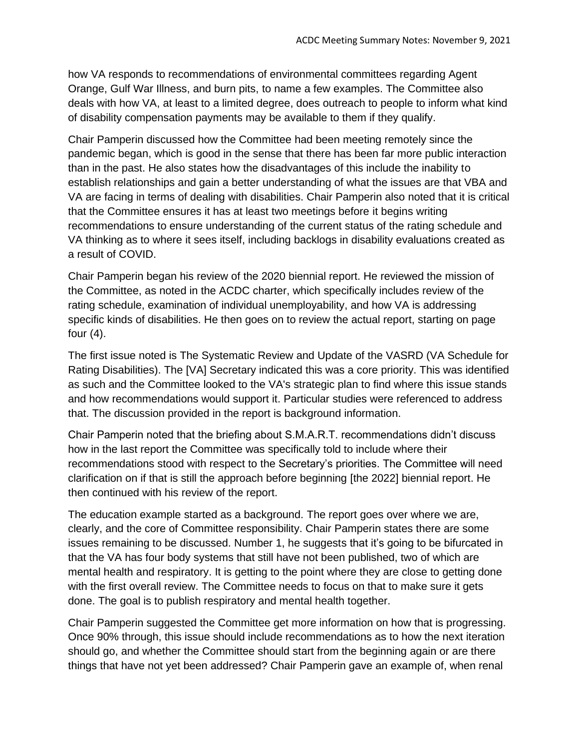how VA responds to recommendations of environmental committees regarding Agent Orange, Gulf War Illness, and burn pits, to name a few examples. The Committee also deals with how VA, at least to a limited degree, does outreach to people to inform what kind of disability compensation payments may be available to them if they qualify.

Chair Pamperin discussed how the Committee had been meeting remotely since the pandemic began, which is good in the sense that there has been far more public interaction than in the past. He also states how the disadvantages of this include the inability to establish relationships and gain a better understanding of what the issues are that VBA and VA are facing in terms of dealing with disabilities. Chair Pamperin also noted that it is critical that the Committee ensures it has at least two meetings before it begins writing recommendations to ensure understanding of the current status of the rating schedule and VA thinking as to where it sees itself, including backlogs in disability evaluations created as a result of COVID.

Chair Pamperin began his review of the 2020 biennial report. He reviewed the mission of the Committee, as noted in the ACDC charter, which specifically includes review of the rating schedule, examination of individual unemployability, and how VA is addressing specific kinds of disabilities. He then goes on to review the actual report, starting on page four  $(4)$ .

The first issue noted is The Systematic Review and Update of the VASRD (VA Schedule for Rating Disabilities). The [VA] Secretary indicated this was a core priority. This was identified as such and the Committee looked to the VA's strategic plan to find where this issue stands and how recommendations would support it. Particular studies were referenced to address that. The discussion provided in the report is background information.

Chair Pamperin noted that the briefing about S.M.A.R.T. recommendations didn't discuss how in the last report the Committee was specifically told to include where their recommendations stood with respect to the Secretary's priorities. The Committee will need clarification on if that is still the approach before beginning [the 2022] biennial report. He then continued with his review of the report.

The education example started as a background. The report goes over where we are, clearly, and the core of Committee responsibility. Chair Pamperin states there are some issues remaining to be discussed. Number 1, he suggests that it's going to be bifurcated in that the VA has four body systems that still have not been published, two of which are mental health and respiratory. It is getting to the point where they are close to getting done with the first overall review. The Committee needs to focus on that to make sure it gets done. The goal is to publish respiratory and mental health together.

Chair Pamperin suggested the Committee get more information on how that is progressing. Once 90% through, this issue should include recommendations as to how the next iteration should go, and whether the Committee should start from the beginning again or are there things that have not yet been addressed? Chair Pamperin gave an example of, when renal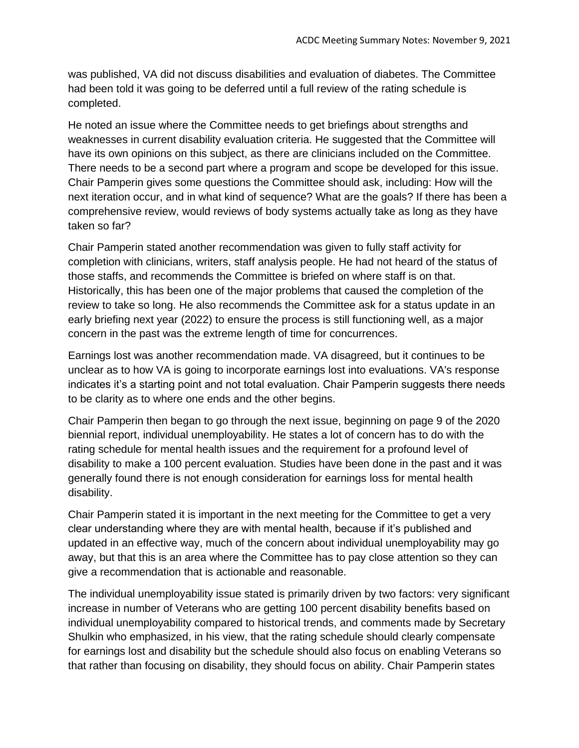was published, VA did not discuss disabilities and evaluation of diabetes. The Committee had been told it was going to be deferred until a full review of the rating schedule is completed.

He noted an issue where the Committee needs to get briefings about strengths and weaknesses in current disability evaluation criteria. He suggested that the Committee will have its own opinions on this subject, as there are clinicians included on the Committee. There needs to be a second part where a program and scope be developed for this issue. Chair Pamperin gives some questions the Committee should ask, including: How will the next iteration occur, and in what kind of sequence? What are the goals? If there has been a comprehensive review, would reviews of body systems actually take as long as they have taken so far?

Chair Pamperin stated another recommendation was given to fully staff activity for completion with clinicians, writers, staff analysis people. He had not heard of the status of those staffs, and recommends the Committee is briefed on where staff is on that. Historically, this has been one of the major problems that caused the completion of the review to take so long. He also recommends the Committee ask for a status update in an early briefing next year (2022) to ensure the process is still functioning well, as a major concern in the past was the extreme length of time for concurrences.

Earnings lost was another recommendation made. VA disagreed, but it continues to be unclear as to how VA is going to incorporate earnings lost into evaluations. VA's response indicates it's a starting point and not total evaluation. Chair Pamperin suggests there needs to be clarity as to where one ends and the other begins.

Chair Pamperin then began to go through the next issue, beginning on page 9 of the 2020 biennial report, individual unemployability. He states a lot of concern has to do with the rating schedule for mental health issues and the requirement for a profound level of disability to make a 100 percent evaluation. Studies have been done in the past and it was generally found there is not enough consideration for earnings loss for mental health disability.

Chair Pamperin stated it is important in the next meeting for the Committee to get a very clear understanding where they are with mental health, because if it's published and updated in an effective way, much of the concern about individual unemployability may go away, but that this is an area where the Committee has to pay close attention so they can give a recommendation that is actionable and reasonable.

The individual unemployability issue stated is primarily driven by two factors: very significant increase in number of Veterans who are getting 100 percent disability benefits based on individual unemployability compared to historical trends, and comments made by Secretary Shulkin who emphasized, in his view, that the rating schedule should clearly compensate for earnings lost and disability but the schedule should also focus on enabling Veterans so that rather than focusing on disability, they should focus on ability. Chair Pamperin states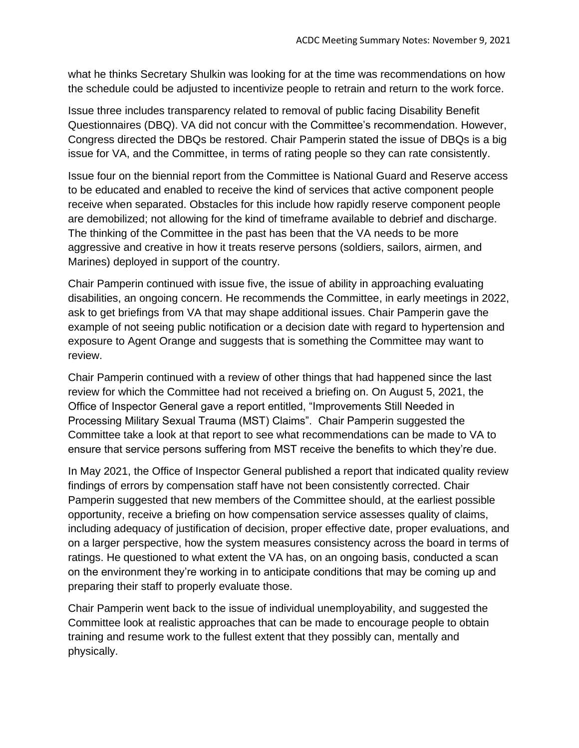what he thinks Secretary Shulkin was looking for at the time was recommendations on how the schedule could be adjusted to incentivize people to retrain and return to the work force.

Issue three includes transparency related to removal of public facing Disability Benefit Questionnaires (DBQ). VA did not concur with the Committee's recommendation. However, Congress directed the DBQs be restored. Chair Pamperin stated the issue of DBQs is a big issue for VA, and the Committee, in terms of rating people so they can rate consistently.

Issue four on the biennial report from the Committee is National Guard and Reserve access to be educated and enabled to receive the kind of services that active component people receive when separated. Obstacles for this include how rapidly reserve component people are demobilized; not allowing for the kind of timeframe available to debrief and discharge. The thinking of the Committee in the past has been that the VA needs to be more aggressive and creative in how it treats reserve persons (soldiers, sailors, airmen, and Marines) deployed in support of the country.

Chair Pamperin continued with issue five, the issue of ability in approaching evaluating disabilities, an ongoing concern. He recommends the Committee, in early meetings in 2022, ask to get briefings from VA that may shape additional issues. Chair Pamperin gave the example of not seeing public notification or a decision date with regard to hypertension and exposure to Agent Orange and suggests that is something the Committee may want to review.

Chair Pamperin continued with a review of other things that had happened since the last review for which the Committee had not received a briefing on. On August 5, 2021, the Office of Inspector General gave a report entitled, "Improvements Still Needed in Processing Military Sexual Trauma (MST) Claims". Chair Pamperin suggested the Committee take a look at that report to see what recommendations can be made to VA to ensure that service persons suffering from MST receive the benefits to which they're due.

In May 2021, the Office of Inspector General published a report that indicated quality review findings of errors by compensation staff have not been consistently corrected. Chair Pamperin suggested that new members of the Committee should, at the earliest possible opportunity, receive a briefing on how compensation service assesses quality of claims, including adequacy of justification of decision, proper effective date, proper evaluations, and on a larger perspective, how the system measures consistency across the board in terms of ratings. He questioned to what extent the VA has, on an ongoing basis, conducted a scan on the environment they're working in to anticipate conditions that may be coming up and preparing their staff to properly evaluate those.

Chair Pamperin went back to the issue of individual unemployability, and suggested the Committee look at realistic approaches that can be made to encourage people to obtain training and resume work to the fullest extent that they possibly can, mentally and physically.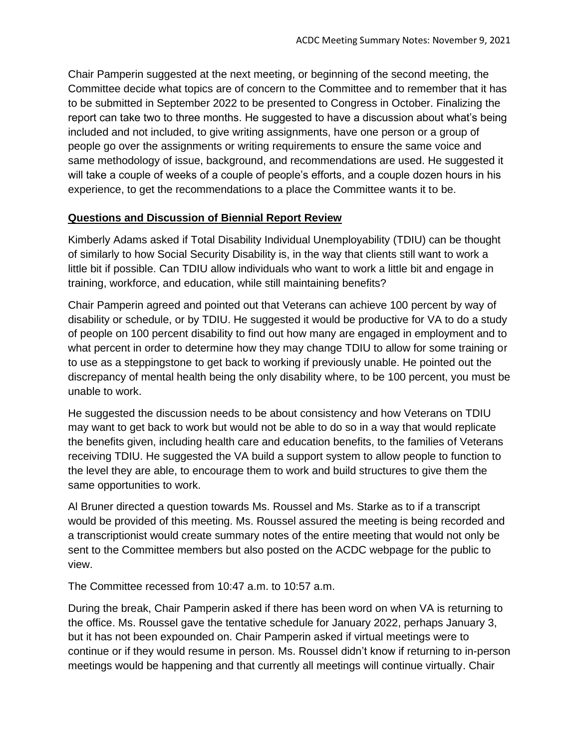Chair Pamperin suggested at the next meeting, or beginning of the second meeting, the Committee decide what topics are of concern to the Committee and to remember that it has to be submitted in September 2022 to be presented to Congress in October. Finalizing the report can take two to three months. He suggested to have a discussion about what's being included and not included, to give writing assignments, have one person or a group of people go over the assignments or writing requirements to ensure the same voice and same methodology of issue, background, and recommendations are used. He suggested it will take a couple of weeks of a couple of people's efforts, and a couple dozen hours in his experience, to get the recommendations to a place the Committee wants it to be.

### **Questions and Discussion of Biennial Report Review**

Kimberly Adams asked if Total Disability Individual Unemployability (TDIU) can be thought of similarly to how Social Security Disability is, in the way that clients still want to work a little bit if possible. Can TDIU allow individuals who want to work a little bit and engage in training, workforce, and education, while still maintaining benefits?

Chair Pamperin agreed and pointed out that Veterans can achieve 100 percent by way of disability or schedule, or by TDIU. He suggested it would be productive for VA to do a study of people on 100 percent disability to find out how many are engaged in employment and to what percent in order to determine how they may change TDIU to allow for some training or to use as a steppingstone to get back to working if previously unable. He pointed out the discrepancy of mental health being the only disability where, to be 100 percent, you must be unable to work.

He suggested the discussion needs to be about consistency and how Veterans on TDIU may want to get back to work but would not be able to do so in a way that would replicate the benefits given, including health care and education benefits, to the families of Veterans receiving TDIU. He suggested the VA build a support system to allow people to function to the level they are able, to encourage them to work and build structures to give them the same opportunities to work.

Al Bruner directed a question towards Ms. Roussel and Ms. Starke as to if a transcript would be provided of this meeting. Ms. Roussel assured the meeting is being recorded and a transcriptionist would create summary notes of the entire meeting that would not only be sent to the Committee members but also posted on the ACDC webpage for the public to view.

The Committee recessed from 10:47 a.m. to 10:57 a.m.

During the break, Chair Pamperin asked if there has been word on when VA is returning to the office. Ms. Roussel gave the tentative schedule for January 2022, perhaps January 3, but it has not been expounded on. Chair Pamperin asked if virtual meetings were to continue or if they would resume in person. Ms. Roussel didn't know if returning to in-person meetings would be happening and that currently all meetings will continue virtually. Chair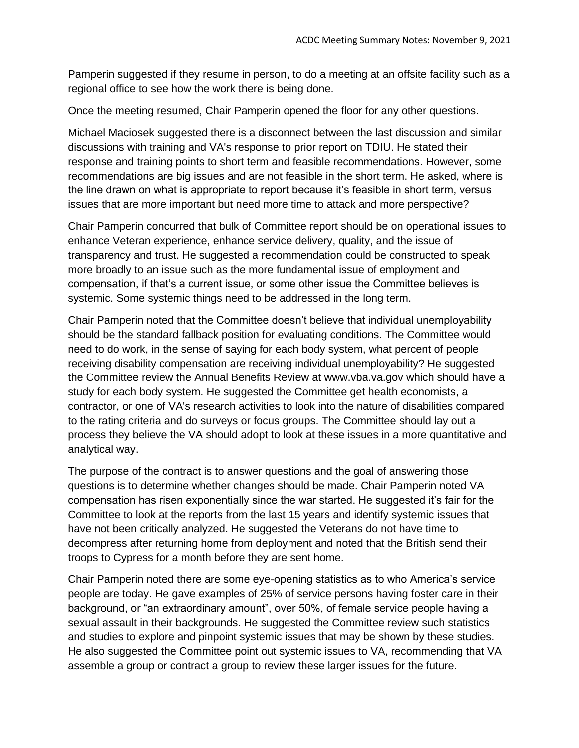Pamperin suggested if they resume in person, to do a meeting at an offsite facility such as a regional office to see how the work there is being done.

Once the meeting resumed, Chair Pamperin opened the floor for any other questions.

Michael Maciosek suggested there is a disconnect between the last discussion and similar discussions with training and VA's response to prior report on TDIU. He stated their response and training points to short term and feasible recommendations. However, some recommendations are big issues and are not feasible in the short term. He asked, where is the line drawn on what is appropriate to report because it's feasible in short term, versus issues that are more important but need more time to attack and more perspective?

Chair Pamperin concurred that bulk of Committee report should be on operational issues to enhance Veteran experience, enhance service delivery, quality, and the issue of transparency and trust. He suggested a recommendation could be constructed to speak more broadly to an issue such as the more fundamental issue of employment and compensation, if that's a current issue, or some other issue the Committee believes is systemic. Some systemic things need to be addressed in the long term.

Chair Pamperin noted that the Committee doesn't believe that individual unemployability should be the standard fallback position for evaluating conditions. The Committee would need to do work, in the sense of saying for each body system, what percent of people receiving disability compensation are receiving individual unemployability? He suggested the Committee review the Annual Benefits Review at www.vba.va.gov which should have a study for each body system. He suggested the Committee get health economists, a contractor, or one of VA's research activities to look into the nature of disabilities compared to the rating criteria and do surveys or focus groups. The Committee should lay out a process they believe the VA should adopt to look at these issues in a more quantitative and analytical way.

The purpose of the contract is to answer questions and the goal of answering those questions is to determine whether changes should be made. Chair Pamperin noted VA compensation has risen exponentially since the war started. He suggested it's fair for the Committee to look at the reports from the last 15 years and identify systemic issues that have not been critically analyzed. He suggested the Veterans do not have time to decompress after returning home from deployment and noted that the British send their troops to Cypress for a month before they are sent home.

Chair Pamperin noted there are some eye-opening statistics as to who America's service people are today. He gave examples of 25% of service persons having foster care in their background, or "an extraordinary amount", over 50%, of female service people having a sexual assault in their backgrounds. He suggested the Committee review such statistics and studies to explore and pinpoint systemic issues that may be shown by these studies. He also suggested the Committee point out systemic issues to VA, recommending that VA assemble a group or contract a group to review these larger issues for the future.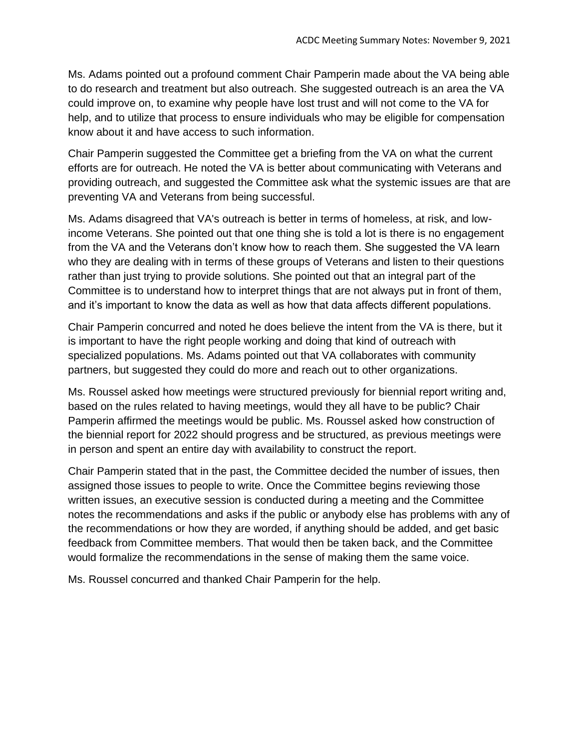Ms. Adams pointed out a profound comment Chair Pamperin made about the VA being able to do research and treatment but also outreach. She suggested outreach is an area the VA could improve on, to examine why people have lost trust and will not come to the VA for help, and to utilize that process to ensure individuals who may be eligible for compensation know about it and have access to such information.

Chair Pamperin suggested the Committee get a briefing from the VA on what the current efforts are for outreach. He noted the VA is better about communicating with Veterans and providing outreach, and suggested the Committee ask what the systemic issues are that are preventing VA and Veterans from being successful.

Ms. Adams disagreed that VA's outreach is better in terms of homeless, at risk, and lowincome Veterans. She pointed out that one thing she is told a lot is there is no engagement from the VA and the Veterans don't know how to reach them. She suggested the VA learn who they are dealing with in terms of these groups of Veterans and listen to their questions rather than just trying to provide solutions. She pointed out that an integral part of the Committee is to understand how to interpret things that are not always put in front of them, and it's important to know the data as well as how that data affects different populations.

Chair Pamperin concurred and noted he does believe the intent from the VA is there, but it is important to have the right people working and doing that kind of outreach with specialized populations. Ms. Adams pointed out that VA collaborates with community partners, but suggested they could do more and reach out to other organizations.

Ms. Roussel asked how meetings were structured previously for biennial report writing and, based on the rules related to having meetings, would they all have to be public? Chair Pamperin affirmed the meetings would be public. Ms. Roussel asked how construction of the biennial report for 2022 should progress and be structured, as previous meetings were in person and spent an entire day with availability to construct the report.

Chair Pamperin stated that in the past, the Committee decided the number of issues, then assigned those issues to people to write. Once the Committee begins reviewing those written issues, an executive session is conducted during a meeting and the Committee notes the recommendations and asks if the public or anybody else has problems with any of the recommendations or how they are worded, if anything should be added, and get basic feedback from Committee members. That would then be taken back, and the Committee would formalize the recommendations in the sense of making them the same voice.

Ms. Roussel concurred and thanked Chair Pamperin for the help.